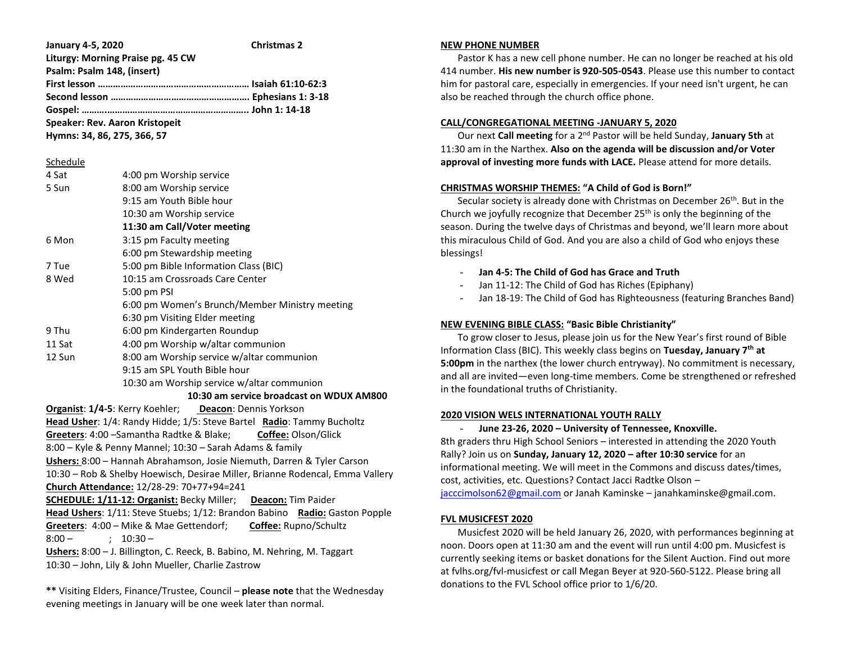**January 4-5, 2020 Christmas 2 Liturgy: Morning Praise pg. 45 CW Psalm: Psalm 148, (insert) First lesson …………………………………………………… Isaiah 61:10-62:3 Second lesson ………………………………………………. Ephesians 1: 3-18 Gospel: ……….……………………………………………….. John 1: 14-18 Speaker: Rev. Aaron Kristopeit Hymns: 34, 86, 275, 366, 57** Schedule 4 Sat 4:00 pm Worship service 5 Sun 8:00 am Worship service 9:15 am Youth Bible hour 10:30 am Worship service **11:30 am Call/Voter meeting** 6 Mon 3:15 pm Faculty meeting 6:00 pm Stewardship meeting 7 Tue 5:00 pm Bible Information Class (BIC) 8 Wed 10:15 am Crossroads Care Center 5:00 pm PSI 6:00 pm Women's Brunch/Member Ministry meeting 6:30 pm Visiting Elder meeting 9 Thu 6:00 pm Kindergarten Roundup 11 Sat 4:00 pm Worship w/altar communion 12 Sun 8:00 am Worship service w/altar communion 9:15 am SPL Youth Bible hour 10:30 am Worship service w/altar communion  **10:30 am service broadcast on WDUX AM800 Organist**: **1/4-5**: Kerry Koehler; **Deacon**: Dennis Yorkson **Head Usher**: 1/4: Randy Hidde; 1/5: Steve Bartel **Radio**: Tammy Bucholtz **Greeters**: 4:00 –Samantha Radtke & Blake; **Coffee:** Olson/Glick 8:00 – Kyle & Penny Mannel; 10:30 – Sarah Adams & family **Ushers:** 8:00 – Hannah Abrahamson, Josie Niemuth, Darren & Tyler Carson 10:30 – Rob & Shelby Hoewisch, Desirae Miller, Brianne Rodencal, Emma Vallery **Church Attendance:** 12/28-29: 70+77+94=241 **SCHEDULE: 1/11-12: Organist:** Becky Miller; **Deacon:** Tim Paider **Head Ushers**: 1/11: Steve Stuebs; 1/12: Brandon Babino **Radio:** Gaston Popple **Greeters**: 4:00 – Mike & Mae Gettendorf; **Coffee:** Rupno/Schultz  $8:00 -$  ;  $10:30 -$ **Ushers:** 8:00 – J. Billington, C. Reeck, B. Babino, M. Nehring, M. Taggart 10:30 – John, Lily & John Mueller, Charlie Zastrow

**\*\*** Visiting Elders, Finance/Trustee, Council – **please note** that the Wednesday evening meetings in January will be one week later than normal.

### **NEW PHONE NUMBER**

 Pastor K has a new cell phone number. He can no longer be reached at his old 414 number. **His new number is 920-505-0543**. Please use this number to contact him for pastoral care, especially in emergencies. If your need isn't urgent, he can also be reached through the church office phone.

### **CALL/CONGREGATIONAL MEETING -JANUARY 5, 2020**

 Our next **Call meeting** for a 2nd Pastor will be held Sunday, **January 5th** at 11:30 am in the Narthex. **Also on the agenda will be discussion and/or Voter approval of investing more funds with LACE.** Please attend for more details.

## **CHRISTMAS WORSHIP THEMES: "A Child of God is Born!"**

Secular society is already done with Christmas on December 26<sup>th</sup>. But in the Church we joyfully recognize that December  $25<sup>th</sup>$  is only the beginning of the season. During the twelve days of Christmas and beyond, we'll learn more about this miraculous Child of God. And you are also a child of God who enjoys these blessings!

- **Jan 4-5: The Child of God has Grace and Truth**
- Jan 11-12: The Child of God has Riches (Epiphany)
- Jan 18-19: The Child of God has Righteousness (featuring Branches Band)

# **NEW EVENING BIBLE CLASS: "Basic Bible Christianity"**

 To grow closer to Jesus, please join us for the New Year's first round of Bible Information Class (BIC). This weekly class begins on **Tuesday, January 7th at 5:00pm** in the narthex (the lower church entryway). No commitment is necessary, and all are invited—even long-time members. Come be strengthened or refreshed in the foundational truths of Christianity.

### **2020 VISION WELS INTERNATIONAL YOUTH RALLY**

- **June 23-26, 2020 – University of Tennessee, Knoxville.** 8th graders thru High School Seniors – interested in attending the 2020 Youth Rally? Join us on **Sunday, January 12, 2020 – after 10:30 service** for an informational meeting. We will meet in the Commons and discuss dates/times, cost, activities, etc. Questions? Contact Jacci Radtke Olson – [jacccimolson62@gmail.com](mailto:jacccimolson62@gmail.com) or Janah Kaminske – janahkaminske@gmail.com.

# **FVL MUSICFEST 2020**

 Musicfest 2020 will be held January 26, 2020, with performances beginning at noon. Doors open at 11:30 am and the event will run until 4:00 pm. Musicfest is currently seeking items or basket donations for the Silent Auction. Find out more at fvlhs.org/fvl-musicfest or call Megan Beyer at 920-560-5122. Please bring all donations to the FVL School office prior to 1/6/20.